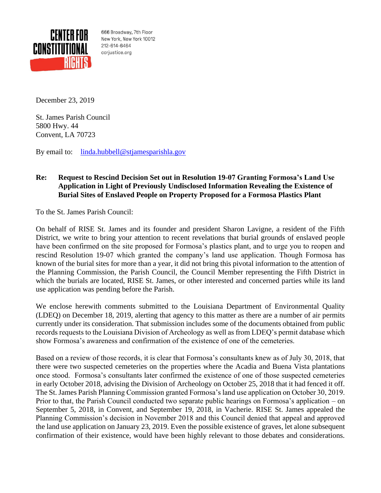

666 Broadway, 7th Floor New York, New York 10012 212-614-6464 ccrjustice.org

December 23, 2019

St. James Parish Council 5800 Hwy. 44 Convent, LA 70723

By email to: [linda.hubbell@stjamesparishla.gov](mailto:linda.hubbell@stjamesparishla.gov)

## **Re: Request to Rescind Decision Set out in Resolution 19-07 Granting Formosa's Land Use Application in Light of Previously Undisclosed Information Revealing the Existence of Burial Sites of Enslaved People on Property Proposed for a Formosa Plastics Plant**

To the St. James Parish Council:

On behalf of RISE St. James and its founder and president Sharon Lavigne, a resident of the Fifth District, we write to bring your attention to recent revelations that burial grounds of enslaved people have been confirmed on the site proposed for Formosa's plastics plant, and to urge you to reopen and rescind Resolution 19-07 which granted the company's land use application. Though Formosa has known of the burial sites for more than a year, it did not bring this pivotal information to the attention of the Planning Commission, the Parish Council, the Council Member representing the Fifth District in which the burials are located, RISE St. James, or other interested and concerned parties while its land use application was pending before the Parish.

We enclose herewith comments submitted to the Louisiana Department of Environmental Quality (LDEQ) on December 18, 2019, alerting that agency to this matter as there are a number of air permits currently under its consideration. That submission includes some of the documents obtained from public records requests to the Louisiana Division of Archeology as well as from LDEQ's permit database which show Formosa's awareness and confirmation of the existence of one of the cemeteries.

Based on a review of those records, it is clear that Formosa's consultants knew as of July 30, 2018, that there were two suspected cemeteries on the properties where the Acadia and Buena Vista plantations once stood. Formosa's consultants later confirmed the existence of one of those suspected cemeteries in early October 2018, advising the Division of Archeology on October 25, 2018 that it had fenced it off. The St. James Parish Planning Commission granted Formosa's land use application on October 30, 2019. Prior to that, the Parish Council conducted two separate public hearings on Formosa's application – on September 5, 2018, in Convent, and September 19, 2018, in Vacherie. RISE St. James appealed the Planning Commission's decision in November 2018 and this Council denied that appeal and approved the land use application on January 23, 2019. Even the possible existence of graves, let alone subsequent confirmation of their existence, would have been highly relevant to those debates and considerations.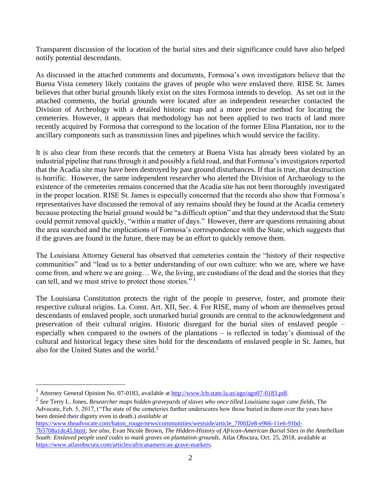Transparent discussion of the location of the burial sites and their significance could have also helped notify potential descendants.

As discussed in the attached comments and documents, Formosa's own investigators believe that the Buena Vista cemetery likely contains the graves of people who were enslaved there. RISE St. James believes that other burial grounds likely exist on the sites Formosa intends to develop. As set out in the attached comments, the burial grounds were located after an independent researcher contacted the Division of Archeology with a detailed historic map and a more precise method for locating the cemeteries. However, it appears that methodology has not been applied to two tracts of land more recently acquired by Formosa that correspond to the location of the former Elina Plantation, nor to the ancillary components such as transmission lines and pipelines which would service the facility.

It is also clear from these records that the cemetery at Buena Vista has already been violated by an industrial pipeline that runs through it and possibly a field road, and that Formosa's investigators reported that the Acadia site may have been destroyed by past ground disturbances. If that is true, that destruction is horrific. However, the same independent researcher who alerted the Division of Archaeology to the existence of the cemeteries remains concerned that the Acadia site has not been thoroughly investigated in the proper location. RISE St. James is especially concerned that the records also show that Formosa's representatives have discussed the removal of any remains should they be found at the Acadia cemetery because protecting the burial ground would be "a difficult option" and that they understood that the State could permit removal quickly, "within a matter of days." However, there are questions remaining about the area searched and the implications of Formosa's correspondence with the State, which suggests that if the graves are found in the future, there may be an effort to quickly remove them.

The Louisiana Attorney General has observed that cemeteries contain the "history of their respective communities" and "lead us to a better understanding of our own culture: who we are, where we have come from, and where we are going… We, the living, are custodians of the dead and the stories that they can tell, and we must strive to protect those stories."<sup>1</sup>

The Louisiana Constitution protects the right of the people to preserve, foster, and promote their respective cultural origins. La. Const. Art. XII, Sec. 4. For RISE, many of whom are themselves proud descendants of enslaved people, such unmarked burial grounds are central to the acknowledgement and preservation of their cultural origins. Historic disregard for the burial sites of enslaved people – especially when compared to the owners of the plantations – is reflected in today's dismissal of the cultural and historical legacy these sites hold for the descendants of enslaved people in St. James, but also for the United States and the world.<sup>2</sup>

[https://www.theadvocate.com/baton\\_rouge/news/communities/westside/article\\_7f0fd2e8-e966-11e6-91bd-](https://www.theadvocate.com/baton_rouge/news/communities/westside/article_7f0fd2e8-e966-11e6-91bd-7b5708a1dc45.html)

Attorney General Opinion No. 07-0183, available a[t http://www.lcb.state.la.us/ago/ago07-0183.pdf.](http://www.lcb.state.la.us/ago/ago07-0183.pdf)

<sup>2</sup> *See* Terry L. Jones*, Researcher maps hidden graveyards of slaves who once tilled Louisiana sugar cane fields*, The Advocate, Feb. 5, 2017, ("The state of the cemeteries further underscores how those buried in them over the years have been denied their dignity even in death.) *available at*

[<sup>7</sup>b5708a1dc45.html;](https://www.theadvocate.com/baton_rouge/news/communities/westside/article_7f0fd2e8-e966-11e6-91bd-7b5708a1dc45.html) *See also,* Evan Nicole Brown, *The Hidden-History of African-American Burial Sites in the Antebellum South: Enslaved people used codes to mark graves on plantation grounds,* Atlas Obscura, Oct. 25, 2018, available at [https://www.atlasobscura.com/articles/africanamerican-grave-markers.](https://www.atlasobscura.com/articles/africanamerican-grave-markers)